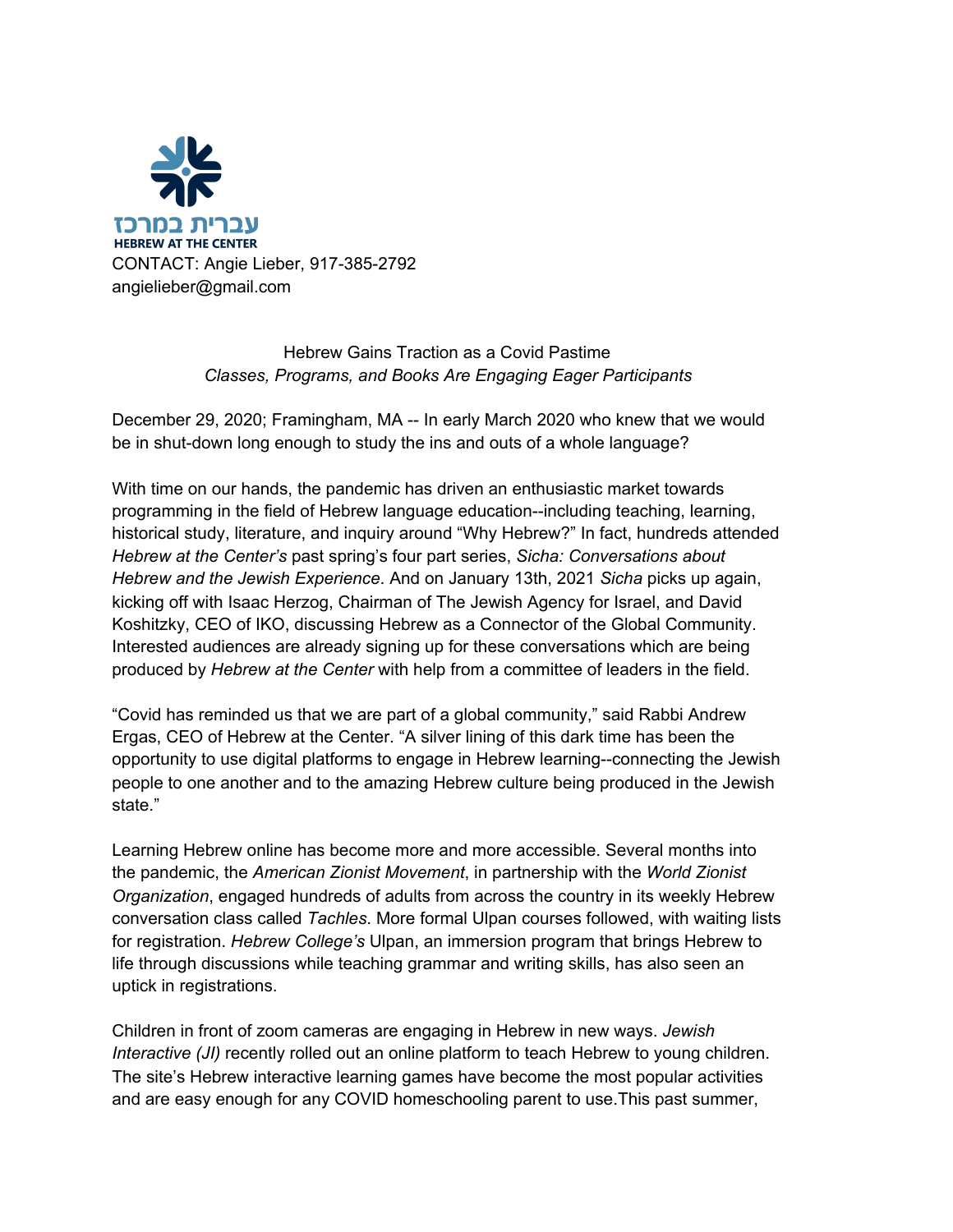

## Hebrew Gains Traction as a Covid Pastime *Classes, Programs, and Books Are Engaging Eager Participants*

December 29, 2020; Framingham, MA -- In early March 2020 who knew that we would be in shut-down long enough to study the ins and outs of a whole language?

With time on our hands, the pandemic has driven an enthusiastic market towards programming in the field of Hebrew language education--including teaching, learning, historical study, literature, and inquiry around "Why Hebrew?" In fact, hundreds attended *Hebrew at the Center's* past spring's four part series, *Sicha: Conversations about Hebrew and the Jewish Experience*. And on January 13th, 2021 *Sicha* picks up again, kicking off with Isaac Herzog, Chairman of The Jewish Agency for Israel, and David Koshitzky, CEO of IKO, discussing Hebrew as a Connector of the Global Community. Interested audiences are already signing up for these conversations which are being produced by *Hebrew at the Center* with help from a committee of leaders in the field.

"Covid has reminded us that we are part of a global community," said Rabbi Andrew Ergas, CEO of Hebrew at the Center. "A silver lining of this dark time has been the opportunity to use digital platforms to engage in Hebrew learning--connecting the Jewish people to one another and to the amazing Hebrew culture being produced in the Jewish state."

Learning Hebrew online has become more and more accessible. Several months into the pandemic, the *American Zionist Movement*, in partnership with the *World Zionist Organization*, engaged hundreds of adults from across the country in its weekly Hebrew conversation class called *Tachles*. More formal Ulpan courses followed, with waiting lists for registration. *Hebrew College's* Ulpan, an immersion program that brings Hebrew to life through discussions while teaching grammar and writing skills, has also seen an uptick in registrations.

Children in front of zoom cameras are engaging in Hebrew in new ways. *Jewish Interactive* (*JI*) recently rolled out an online platform to teach Hebrew to young children. The site's Hebrew interactive learning games have become the most popular activities and are easy enough for any COVID homeschooling parent to use.This past summer,